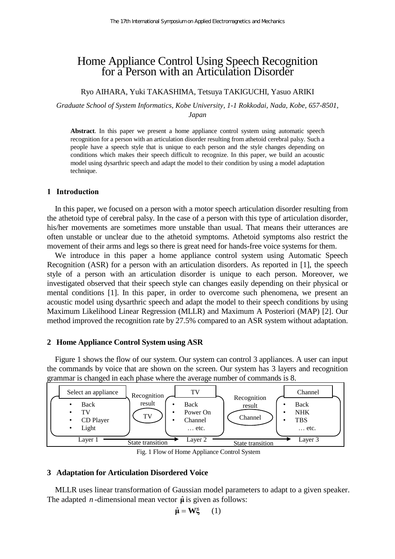# Home Appliance Control Using Speech Recognition for a Person with an Articulation Disorder

## Ryo AIHARA, Yuki TAKASHIMA, Tetsuya TAKIGUCHI, Yasuo ARIKI

*Graduate School of System Informatics, Kobe University, 1-1 Rokkodai, Nada, Kobe, 657-8501, Japan* 

**Abstract**. In this paper we present a home appliance control system using automatic speech recognition for a person with an articulation disorder resulting from athetoid cerebral palsy. Such a people have a speech style that is unique to each person and the style changes depending on conditions which makes their speech difficult to recognize. In this paper, we build an acoustic model using dysarthric speech and adapt the model to their condition by using a model adaptation technique.

#### **1 Introduction**

In this paper, we focused on a person with a motor speech articulation disorder resulting from the athetoid type of cerebral palsy. In the case of a person with this type of articulation disorder, his/her movements are sometimes more unstable than usual. That means their utterances are often unstable or unclear due to the athetoid symptoms. Athetoid symptoms also restrict the movement of their arms and legs so there is great need for hands-free voice systems for them.

We introduce in this paper a home appliance control system using Automatic Speech Recognition (ASR) for a person with an articulation disorders. As reported in [1], the speech style of a person with an articulation disorder is unique to each person. Moreover, we investigated observed that their speech style can changes easily depending on their physical or mental conditions [1]. In this paper, in order to overcome such phenomena, we present an acoustic model using dysarthric speech and adapt the model to their speech conditions by using Maximum Likelihood Linear Regression (MLLR) and Maximum A Posteriori (MAP) [2]. Our method improved the recognition rate by 27.5% compared to an ASR system without adaptation.

### **2 Home Appliance Control System using ASR**

Figure 1 shows the flow of our system. Our system can control 3 appliances. A user can input the commands by voice that are shown on the screen. Our system has 3 layers and recognition grammar is changed in each phase where the average number of commands is 8.



Fig. 1 Flow of Home Appliance Control System

#### **3 Adaptation for Articulation Disordered Voice**

MLLR uses linear transformation of Gaussian model parameters to adapt to a given speaker. The adapted *n*-dimensional mean vector  $\hat{\mu}$  is given as follows:

$$
\hat{\mu} = W\xi \qquad (1)
$$